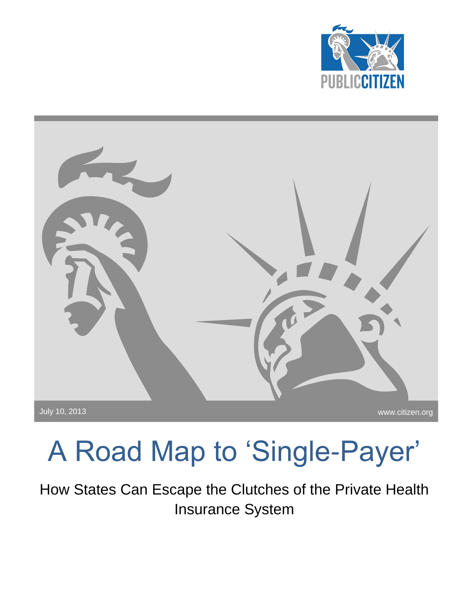



## A Road Map to 'Single-Payer'

How States Can Escape the Clutches of the Private Health Insurance System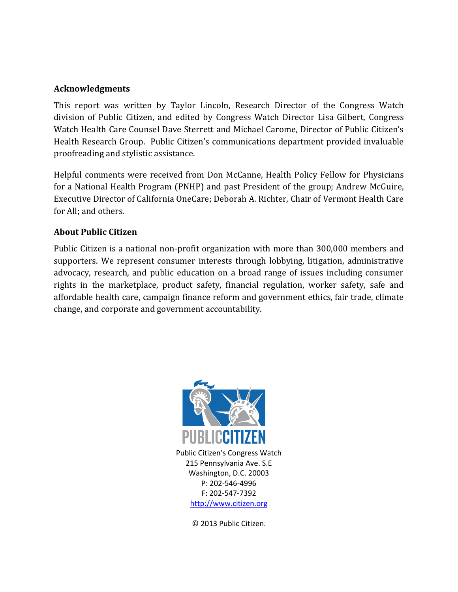#### **Acknowledgments**

This report was written by Taylor Lincoln, Research Director of the Congress Watch division of Public Citizen, and edited by Congress Watch Director Lisa Gilbert, Congress Watch Health Care Counsel Dave Sterrett and Michael Carome, Director of Public Citizen's Health Research Group. Public Citizen's communications department provided invaluable proofreading and stylistic assistance.

Helpful comments were received from Don McCanne, Health Policy Fellow for Physicians for a National Health Program (PNHP) and past President of the group; Andrew McGuire, Executive Director of California OneCare; Deborah A. Richter, Chair of Vermont Health Care for All; and others.

#### **About Public Citizen**

Public Citizen is a national non-profit organization with more than 300,000 members and supporters. We represent consumer interests through lobbying, litigation, administrative advocacy, research, and public education on a broad range of issues including consumer rights in the marketplace, product safety, financial regulation, worker safety, safe and affordable health care, campaign finance reform and government ethics, fair trade, climate change, and corporate and government accountability.



Public Citizen's Congress Watch 215 Pennsylvania Ave. S.E Washington, D.C. 20003 P: 202-546-4996 F: 202-547-7392 [http://www.citizen.org](http://www.citizen.org/)

© 2013 Public Citizen.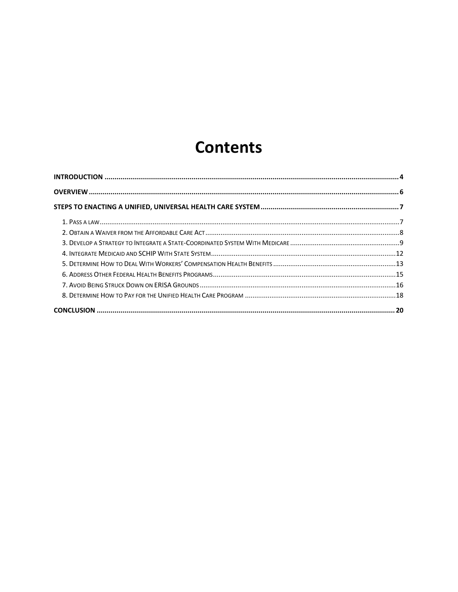### **Contents**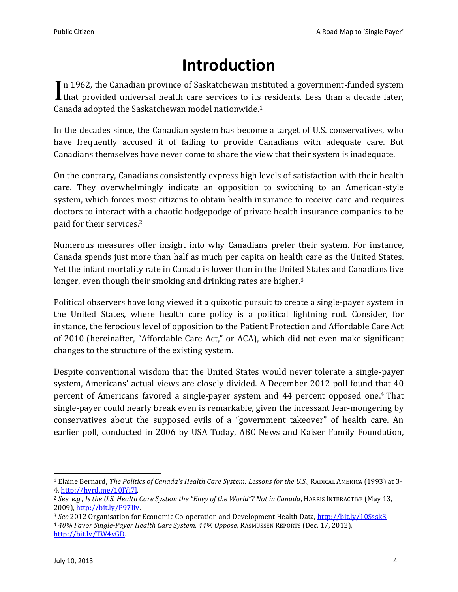## **Introduction**

<span id="page-3-0"></span>In 1962, the Canadian province of Saskatchewan instituted a government-funded system In 1962, the Canadian province of Saskatchewan instituted a government-funded system<br>that provided universal health care services to its residents. Less than a decade later, Canada adopted the Saskatchewan model nationwide.<sup>1</sup>

In the decades since, the Canadian system has become a target of U.S. conservatives, who have frequently accused it of failing to provide Canadians with adequate care. But Canadians themselves have never come to share the view that their system is inadequate.

On the contrary, Canadians consistently express high levels of satisfaction with their health care. They overwhelmingly indicate an opposition to switching to an American-style system, which forces most citizens to obtain health insurance to receive care and requires doctors to interact with a chaotic hodgepodge of private health insurance companies to be paid for their services. 2

Numerous measures offer insight into why Canadians prefer their system. For instance, Canada spends just more than half as much per capita on health care as the United States. Yet the infant mortality rate in Canada is lower than in the United States and Canadians live longer, even though their smoking and drinking rates are higher.<sup>3</sup>

Political observers have long viewed it a quixotic pursuit to create a single-payer system in the United States, where health care policy is a political lightning rod. Consider, for instance, the ferocious level of opposition to the Patient Protection and Affordable Care Act of 2010 (hereinafter, "Affordable Care Act," or ACA), which did not even make significant changes to the structure of the existing system.

Despite conventional wisdom that the United States would never tolerate a single-payer system, Americans' actual views are closely divided. A December 2012 poll found that 40 percent of Americans favored a single-payer system and 44 percent opposed one. <sup>4</sup> That single-payer could nearly break even is remarkable, given the incessant fear-mongering by conservatives about the supposed evils of a "government takeover" of health care. An earlier poll, conducted in 2006 by USA Today, ABC News and Kaiser Family Foundation,

 $\overline{a}$ <sup>1</sup> Elaine Bernard, *The Politics of Canada's Health Care System: Lessons for the U.S.*, RADICAL AMERICA (1993) at 3- 4, [http://hvrd.me/10IYi7l.](http://hvrd.me/10IYi7l) 

<sup>2</sup> *See*, *e.g.*, *Is the U.S. Health Care System the "Envy of the World"? Not in Canada*, HARRIS INTERACTIVE (May 13, 2009), [http://bit.ly/P97Iiy.](http://bit.ly/P97Iiy) 

<sup>3</sup> *See* 2012 Organisation for Economic Co-operation and Development Health Data[, http://bit.ly/10Sssk3.](http://bit.ly/10Sssk3) 

<sup>4</sup> *40% Favor Single-Payer Health Care System, 44% Oppose*, RASMUSSEN REPORTS (Dec. 17, 2012), [http://bit.ly/TW4vGD.](http://bit.ly/TW4vGD)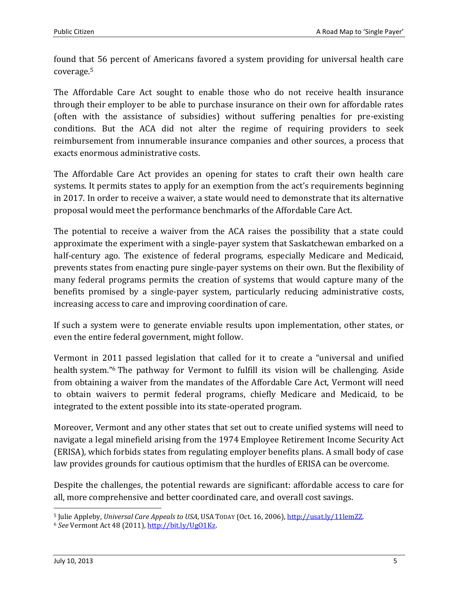found that 56 percent of Americans favored a system providing for universal health care coverage.<sup>5</sup>

The Affordable Care Act sought to enable those who do not receive health insurance through their employer to be able to purchase insurance on their own for affordable rates (often with the assistance of subsidies) without suffering penalties for pre-existing conditions. But the ACA did not alter the regime of requiring providers to seek reimbursement from innumerable insurance companies and other sources, a process that exacts enormous administrative costs.

The Affordable Care Act provides an opening for states to craft their own health care systems. It permits states to apply for an exemption from the act's requirements beginning in 2017. In order to receive a waiver, a state would need to demonstrate that its alternative proposal would meet the performance benchmarks of the Affordable Care Act.

The potential to receive a waiver from the ACA raises the possibility that a state could approximate the experiment with a single-payer system that Saskatchewan embarked on a half-century ago. The existence of federal programs, especially Medicare and Medicaid, prevents states from enacting pure single-payer systems on their own. But the flexibility of many federal programs permits the creation of systems that would capture many of the benefits promised by a single-payer system, particularly reducing administrative costs, increasing access to care and improving coordination of care.

If such a system were to generate enviable results upon implementation, other states, or even the entire federal government, might follow.

Vermont in 2011 passed legislation that called for it to create a "universal and unified health system." <sup>6</sup> The pathway for Vermont to fulfill its vision will be challenging. Aside from obtaining a waiver from the mandates of the Affordable Care Act, Vermont will need to obtain waivers to permit federal programs, chiefly Medicare and Medicaid, to be integrated to the extent possible into its state-operated program.

Moreover, Vermont and any other states that set out to create unified systems will need to navigate a legal minefield arising from the 1974 Employee Retirement Income Security Act (ERISA), which forbids states from regulating employer benefits plans. A small body of case law provides grounds for cautious optimism that the hurdles of ERISA can be overcome.

Despite the challenges, the potential rewards are significant: affordable access to care for all, more comprehensive and better coordinated care, and overall cost savings.

<sup>5</sup> Julie Appleby, *Universal Care Appeals to USA*, USA TODAY (Oct. 16, 2006), [http://usat.ly/11lemZZ.](http://usat.ly/11lemZZ)

<sup>6</sup> *See* Vermont Act 48 (2011), [http://bit.ly/UgO1Kz.](http://bit.ly/UgO1Kz)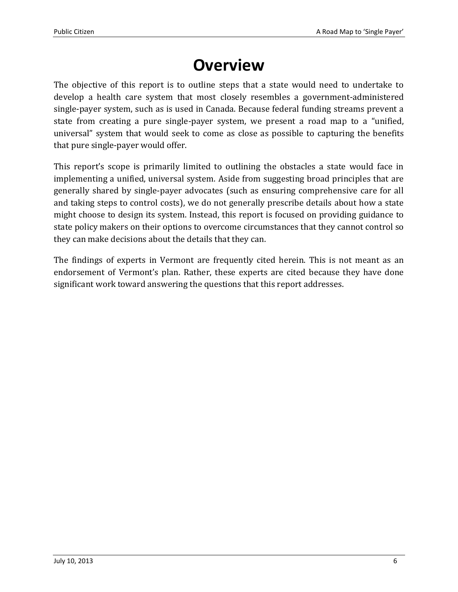## **Overview**

<span id="page-5-0"></span>The objective of this report is to outline steps that a state would need to undertake to develop a health care system that most closely resembles a government-administered single-payer system, such as is used in Canada. Because federal funding streams prevent a state from creating a pure single-payer system, we present a road map to a "unified, universal" system that would seek to come as close as possible to capturing the benefits that pure single-payer would offer.

This report's scope is primarily limited to outlining the obstacles a state would face in implementing a unified, universal system. Aside from suggesting broad principles that are generally shared by single-payer advocates (such as ensuring comprehensive care for all and taking steps to control costs), we do not generally prescribe details about how a state might choose to design its system. Instead, this report is focused on providing guidance to state policy makers on their options to overcome circumstances that they cannot control so they can make decisions about the details that they can.

The findings of experts in Vermont are frequently cited herein. This is not meant as an endorsement of Vermont's plan. Rather, these experts are cited because they have done significant work toward answering the questions that this report addresses.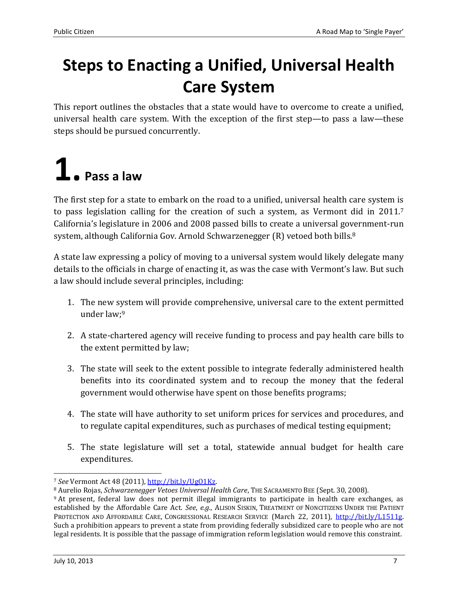## <span id="page-6-0"></span>**Steps to Enacting a Unified, Universal Health Care System**

This report outlines the obstacles that a state would have to overcome to create a unified, universal health care system. With the exception of the first step—to pass a law—these steps should be pursued concurrently.

## <span id="page-6-1"></span>**1. Pass a law**

The first step for a state to embark on the road to a unified, universal health care system is to pass legislation calling for the creation of such a system, as Vermont did in 2011.<sup>7</sup> California's legislature in 2006 and 2008 passed bills to create a universal government-run system, although California Gov. Arnold Schwarzenegger (R) vetoed both bills.<sup>8</sup>

A state law expressing a policy of moving to a universal system would likely delegate many details to the officials in charge of enacting it, as was the case with Vermont's law. But such a law should include several principles, including:

- 1. The new system will provide comprehensive, universal care to the extent permitted under law;<sup>9</sup>
- 2. A state-chartered agency will receive funding to process and pay health care bills to the extent permitted by law;
- 3. The state will seek to the extent possible to integrate federally administered health benefits into its coordinated system and to recoup the money that the federal government would otherwise have spent on those benefits programs;
- 4. The state will have authority to set uniform prices for services and procedures, and to regulate capital expenditures, such as purchases of medical testing equipment;
- 5. The state legislature will set a total, statewide annual budget for health care expenditures.

 $\overline{a}$ <sup>7</sup> *See* Vermont Act 48 (2011), [http://bit.ly/UgO1Kz.](http://bit.ly/UgO1Kz)

<sup>8</sup> Aurelio Rojas, *Schwarzenegger Vetoes Universal Health Care*, THE SACRAMENTO BEE (Sept. 30, 2008).

<sup>9</sup> At present, federal law does not permit illegal immigrants to participate in health care exchanges, as established by the Affordable Care Act. *See*, *e.g.*, ALISON SISKIN, TREATMENT OF NONCITIZENS UNDER THE PATIENT PROTECTION AND AFFORDABLE CARE, CONGRESSIONAL RESEARCH SERVICE (March 22, 2011), [http://bit.ly/L1511g.](http://bit.ly/L1511g) Such a prohibition appears to prevent a state from providing federally subsidized care to people who are not legal residents. It is possible that the passage of immigration reform legislation would remove this constraint.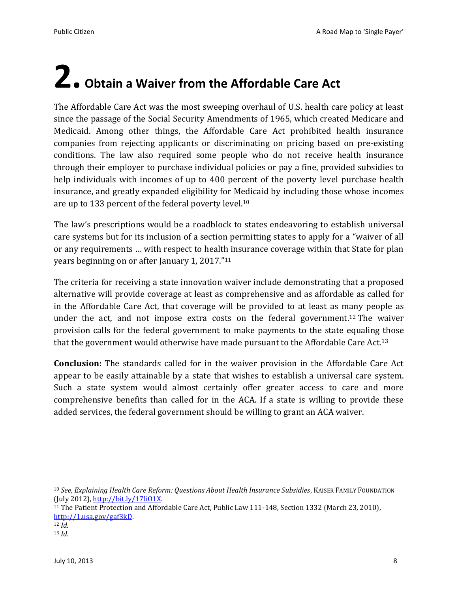# <span id="page-7-0"></span>**2. Obtain a Waiver from the Affordable Care Act**

The Affordable Care Act was the most sweeping overhaul of U.S. health care policy at least since the passage of the Social Security Amendments of 1965, which created Medicare and Medicaid. Among other things, the Affordable Care Act prohibited health insurance companies from rejecting applicants or discriminating on pricing based on pre-existing conditions. The law also required some people who do not receive health insurance through their employer to purchase individual policies or pay a fine, provided subsidies to help individuals with incomes of up to 400 percent of the poverty level purchase health insurance, and greatly expanded eligibility for Medicaid by including those whose incomes are up to 133 percent of the federal poverty level. 10

The law's prescriptions would be a roadblock to states endeavoring to establish universal care systems but for its inclusion of a section permitting states to apply for a "waiver of all or any requirements … with respect to health insurance coverage within that State for plan years beginning on or after January 1, 2017."<sup>11</sup>

The criteria for receiving a state innovation waiver include demonstrating that a proposed alternative will provide coverage at least as comprehensive and as affordable as called for in the Affordable Care Act, that coverage will be provided to at least as many people as under the act, and not impose extra costs on the federal government. <sup>12</sup> The waiver provision calls for the federal government to make payments to the state equaling those that the government would otherwise have made pursuant to the Affordable Care Act.<sup>13</sup>

**Conclusion:** The standards called for in the waiver provision in the Affordable Care Act appear to be easily attainable by a state that wishes to establish a universal care system. Such a state system would almost certainly offer greater access to care and more comprehensive benefits than called for in the ACA. If a state is willing to provide these added services, the federal government should be willing to grant an ACA waiver.

<sup>10</sup> *See, Explaining Health Care Reform: Questions About Health Insurance Subsidies*, KAISER FAMILY FOUNDATION (July 2012)[, http://bit.ly/17liO1X.](http://bit.ly/17liO1X) 

<sup>11</sup> The Patient Protection and Affordable Care Act, Public Law 111-148, Section 1332 (March 23, 2010), [http://1.usa.gov/gaf3kD.](http://1.usa.gov/gaf3kD)

 $\overline{a}$ 

<sup>12</sup> *Id.*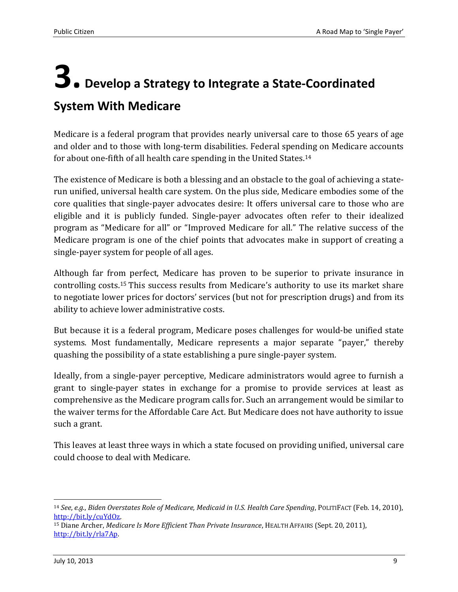## <span id="page-8-0"></span>**3. Develop a Strategy to Integrate a State-Coordinated System With Medicare**

Medicare is a federal program that provides nearly universal care to those 65 years of age and older and to those with long-term disabilities. Federal spending on Medicare accounts for about one-fifth of all health care spending in the United States.<sup>14</sup>

The existence of Medicare is both a blessing and an obstacle to the goal of achieving a staterun unified, universal health care system. On the plus side, Medicare embodies some of the core qualities that single-payer advocates desire: It offers universal care to those who are eligible and it is publicly funded. Single-payer advocates often refer to their idealized program as "Medicare for all" or "Improved Medicare for all." The relative success of the Medicare program is one of the chief points that advocates make in support of creating a single-payer system for people of all ages.

Although far from perfect, Medicare has proven to be superior to private insurance in controlling costs.<sup>15</sup> This success results from Medicare's authority to use its market share to negotiate lower prices for doctors' services (but not for prescription drugs) and from its ability to achieve lower administrative costs.

But because it is a federal program, Medicare poses challenges for would-be unified state systems. Most fundamentally, Medicare represents a major separate "payer," thereby quashing the possibility of a state establishing a pure single-payer system.

Ideally, from a single-payer perceptive, Medicare administrators would agree to furnish a grant to single-payer states in exchange for a promise to provide services at least as comprehensive as the Medicare program calls for. Such an arrangement would be similar to the waiver terms for the Affordable Care Act. But Medicare does not have authority to issue such a grant.

This leaves at least three ways in which a state focused on providing unified, universal care could choose to deal with Medicare.

<sup>14</sup> *See*, *e.g.*, *Biden Overstates Role of Medicare, Medicaid in U.S. Health Care Spending*, POLITIFACT (Feb. 14, 2010), [http://bit.ly/cuYdOz.](http://bit.ly/cuYdOz) 

<sup>15</sup> Diane Archer, *Medicare Is More Efficient Than Private Insurance*, HEALTH AFFAIRS (Sept. 20, 2011), [http://bit.ly/rla7Ap.](http://bit.ly/rla7Ap)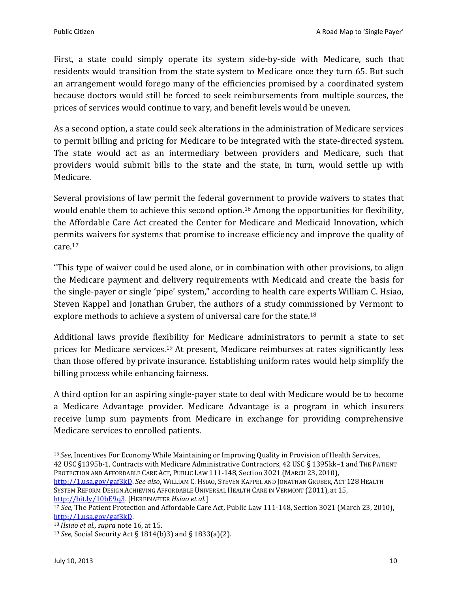First, a state could simply operate its system side-by-side with Medicare, such that residents would transition from the state system to Medicare once they turn 65. But such an arrangement would forego many of the efficiencies promised by a coordinated system because doctors would still be forced to seek reimbursements from multiple sources, the prices of services would continue to vary, and benefit levels would be uneven.

As a second option, a state could seek alterations in the administration of Medicare services to permit billing and pricing for Medicare to be integrated with the state-directed system. The state would act as an intermediary between providers and Medicare, such that providers would submit bills to the state and the state, in turn, would settle up with Medicare.

Several provisions of law permit the federal government to provide waivers to states that would enable them to achieve this second option.<sup>16</sup> Among the opportunities for flexibility, the Affordable Care Act created the Center for Medicare and Medicaid Innovation, which permits waivers for systems that promise to increase efficiency and improve the quality of care.<sup>17</sup>

"This type of waiver could be used alone, or in combination with other provisions, to align the Medicare payment and delivery requirements with Medicaid and create the basis for the single-payer or single 'pipe' system," according to health care experts William C. Hsiao, Steven Kappel and Jonathan Gruber, the authors of a study commissioned by Vermont to explore methods to achieve a system of universal care for the state.<sup>18</sup>

Additional laws provide flexibility for Medicare administrators to permit a state to set prices for Medicare services.<sup>19</sup> At present, Medicare reimburses at rates significantly less than those offered by private insurance. Establishing uniform rates would help simplify the billing process while enhancing fairness.

A third option for an aspiring single-payer state to deal with Medicare would be to become a Medicare Advantage provider. Medicare Advantage is a program in which insurers receive lump sum payments from Medicare in exchange for providing comprehensive Medicare services to enrolled patients.

[http://1.usa.gov/gaf3kD.](http://1.usa.gov/gaf3kD) *See also*, WILLIAM C. HSIAO, STEVEN KAPPEL AND JONATHAN GRUBER, ACT 128 HEALTH SYSTEM REFORM DESIGN ACHIEVING AFFORDABLE UNIVERSAL HEALTH CARE IN VERMONT (2011), at 15, [http://bit.ly/10bE9q3.](http://bit.ly/10bE9q3) [HEREINAFTER *Hsiao et al.*]

 $\overline{\phantom{0}}$ <sup>16</sup> *See,* Incentives For Economy While Maintaining or Improving Quality in Provision of Health Services, 42 USC §1395b-1, Contracts with Medicare Administrative Contractors, 42 USC § 1395kk–1 and THE PATIENT PROTECTION AND AFFORDABLE CARE ACT, PUBLIC LAW 111-148, Section 3021 (MARCH 23, 2010),

<sup>17</sup> *See,* The Patient Protection and Affordable Care Act, Public Law 111-148, Section 3021 (March 23, 2010), [http://1.usa.gov/gaf3kD.](http://1.usa.gov/gaf3kD)

<sup>18</sup> *Hsiao et al., supra* note 16, at 15.

<sup>19</sup> *See*, Social Security Act § 1814(b)3) and § 1833(a)(2).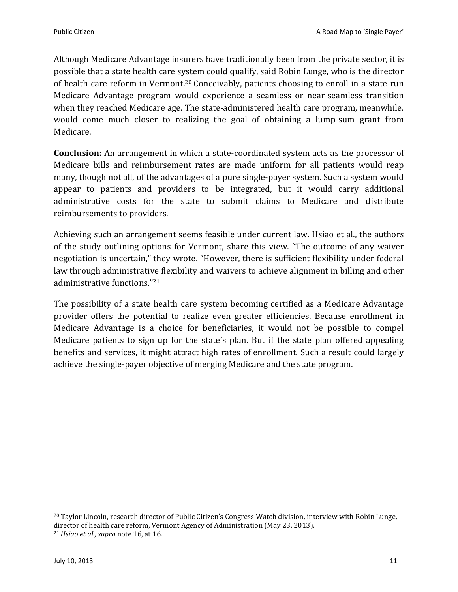Although Medicare Advantage insurers have traditionally been from the private sector, it is possible that a state health care system could qualify, said Robin Lunge, who is the director of health care reform in Vermont. <sup>20</sup> Conceivably, patients choosing to enroll in a state-run Medicare Advantage program would experience a seamless or near-seamless transition when they reached Medicare age. The state-administered health care program, meanwhile, would come much closer to realizing the goal of obtaining a lump-sum grant from Medicare.

**Conclusion:** An arrangement in which a state-coordinated system acts as the processor of Medicare bills and reimbursement rates are made uniform for all patients would reap many, though not all, of the advantages of a pure single-payer system. Such a system would appear to patients and providers to be integrated, but it would carry additional administrative costs for the state to submit claims to Medicare and distribute reimbursements to providers.

Achieving such an arrangement seems feasible under current law. Hsiao et al., the authors of the study outlining options for Vermont, share this view. "The outcome of any waiver negotiation is uncertain," they wrote. "However, there is sufficient flexibility under federal law through administrative flexibility and waivers to achieve alignment in billing and other administrative functions." 21

The possibility of a state health care system becoming certified as a Medicare Advantage provider offers the potential to realize even greater efficiencies. Because enrollment in Medicare Advantage is a choice for beneficiaries, it would not be possible to compel Medicare patients to sign up for the state's plan. But if the state plan offered appealing benefits and services, it might attract high rates of enrollment. Such a result could largely achieve the single-payer objective of merging Medicare and the state program.

<sup>&</sup>lt;sup>20</sup> Taylor Lincoln, research director of Public Citizen's Congress Watch division, interview with Robin Lunge, director of health care reform, Vermont Agency of Administration (May 23, 2013). <sup>21</sup> *Hsiao et al., supra* note 16, at 16.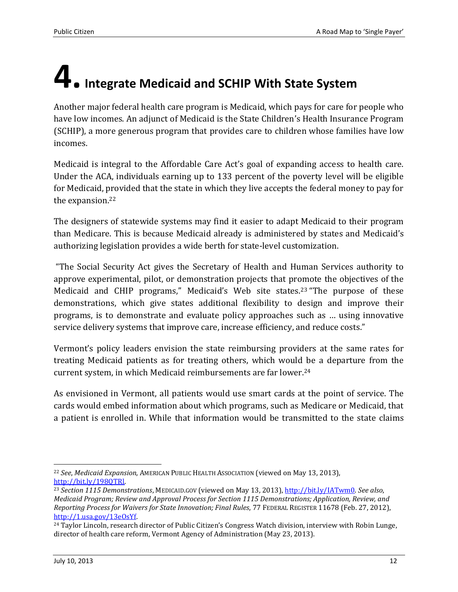# <span id="page-11-0"></span>**4.Integrate Medicaid and SCHIP With State System**

Another major federal health care program is Medicaid, which pays for care for people who have low incomes. An adjunct of Medicaid is the State Children's Health Insurance Program (SCHIP), a more generous program that provides care to children whose families have low incomes.

Medicaid is integral to the Affordable Care Act's goal of expanding access to health care. Under the ACA, individuals earning up to 133 percent of the poverty level will be eligible for Medicaid, provided that the state in which they live accepts the federal money to pay for the expansion.<sup>22</sup>

The designers of statewide systems may find it easier to adapt Medicaid to their program than Medicare. This is because Medicaid already is administered by states and Medicaid's authorizing legislation provides a wide berth for state-level customization.

"The Social Security Act gives the Secretary of Health and Human Services authority to approve experimental, pilot, or demonstration projects that promote the objectives of the Medicaid and CHIP programs," Medicaid's Web site states.<sup>23</sup> "The purpose of these demonstrations, which give states additional flexibility to design and improve their programs, is to demonstrate and evaluate policy approaches such as … using innovative service delivery systems that improve care, increase efficiency, and reduce costs."

Vermont's policy leaders envision the state reimbursing providers at the same rates for treating Medicaid patients as for treating others, which would be a departure from the current system, in which Medicaid reimbursements are far lower.<sup>24</sup>

As envisioned in Vermont, all patients would use smart cards at the point of service. The cards would embed information about which programs, such as Medicare or Medicaid, that a patient is enrolled in. While that information would be transmitted to the state claims

l <sup>22</sup> *See*, *Medicaid Expansion*, AMERICAN PUBLIC HEALTH ASSOCIATION (viewed on May 13, 2013), [http://bit.ly/198QTRl.](http://bit.ly/198QTRl)

<sup>23</sup> *Section 1115 Demonstrations*, MEDICAID.GOV (viewed on May 13, 2013), [http://bit.ly/IATwm0.](http://bit.ly/IATwm0) *See also*, *Medicaid Program; Review and Approval Process for Section 1115 Demonstrations; Application, Review, and Reporting Process for Waivers for State Innovation; Final Rules*, 77 FEDERAL REGISTER 11678 (Feb. 27, 2012), [http://1.usa.gov/13eOsYf.](http://1.usa.gov/13eOsYf) 

<sup>&</sup>lt;sup>24</sup> Taylor Lincoln, research director of Public Citizen's Congress Watch division, interview with Robin Lunge, director of health care reform, Vermont Agency of Administration (May 23, 2013).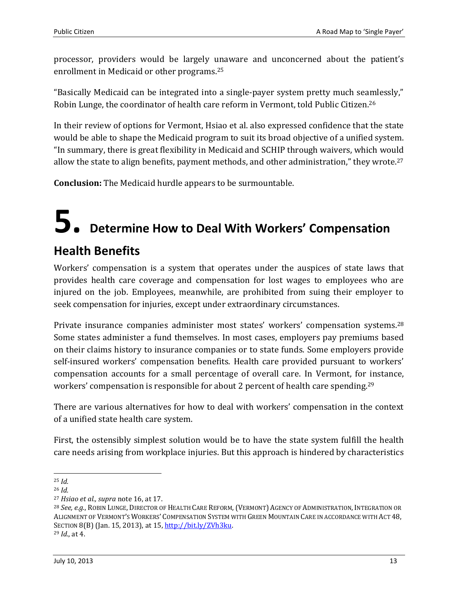processor, providers would be largely unaware and unconcerned about the patient's enrollment in Medicaid or other programs.<sup>25</sup>

"Basically Medicaid can be integrated into a single-payer system pretty much seamlessly," Robin Lunge, the coordinator of health care reform in Vermont, told Public Citizen.<sup>26</sup>

In their review of options for Vermont, Hsiao et al. also expressed confidence that the state would be able to shape the Medicaid program to suit its broad objective of a unified system. "In summary, there is great flexibility in Medicaid and SCHIP through waivers, which would allow the state to align benefits, payment methods, and other administration," they wrote.<sup>27</sup>

**Conclusion:** The Medicaid hurdle appears to be surmountable.

# <span id="page-12-0"></span>**5. Determine How to Deal With Workers' Compensation**

### **Health Benefits**

Workers' compensation is a system that operates under the auspices of state laws that provides health care coverage and compensation for lost wages to employees who are injured on the job. Employees, meanwhile, are prohibited from suing their employer to seek compensation for injuries, except under extraordinary circumstances.

Private insurance companies administer most states' workers' compensation systems.<sup>28</sup> Some states administer a fund themselves. In most cases, employers pay premiums based on their claims history to insurance companies or to state funds. Some employers provide self-insured workers' compensation benefits. Health care provided pursuant to workers' compensation accounts for a small percentage of overall care. In Vermont, for instance, workers' compensation is responsible for about 2 percent of health care spending.<sup>29</sup>

There are various alternatives for how to deal with workers' compensation in the context of a unified state health care system.

First, the ostensibly simplest solution would be to have the state system fulfill the health care needs arising from workplace injuries. But this approach is hindered by characteristics

 $\overline{a}$ <sup>25</sup> *Id.*

<sup>26</sup> *Id.*

<sup>27</sup> *Hsiao et al., supra* note 16, at 17.

<sup>28</sup> *See, e.g.*, ROBIN LUNGE, DIRECTOR OF HEALTH CARE REFORM,(VERMONT) AGENCY OF ADMINISTRATION, INTEGRATION OR ALIGNMENT OF VERMONT'S WORKERS' COMPENSATION SYSTEM WITH GREEN MOUNTAIN CARE IN ACCORDANCE WITH ACT 48, SECTION 8(B) (Jan. 15, 2013), at 15[, http://bit.ly/ZVh3ku.](http://bit.ly/ZVh3ku) <sup>29</sup> *Id.*, at 4.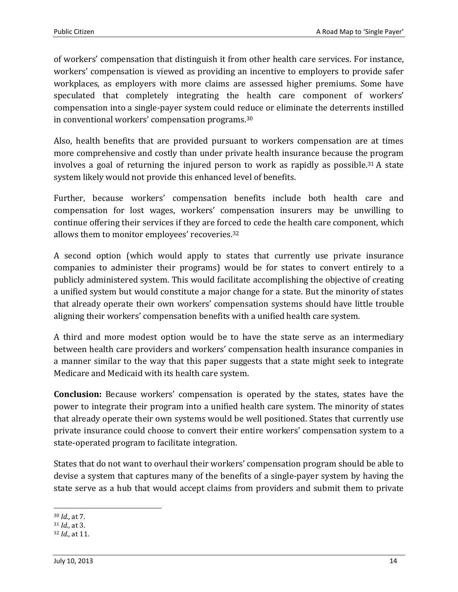of workers' compensation that distinguish it from other health care services. For instance, workers' compensation is viewed as providing an incentive to employers to provide safer workplaces, as employers with more claims are assessed higher premiums. Some have speculated that completely integrating the health care component of workers' compensation into a single-payer system could reduce or eliminate the deterrents instilled in conventional workers' compensation programs. 30

Also, health benefits that are provided pursuant to workers compensation are at times more comprehensive and costly than under private health insurance because the program involves a goal of returning the injured person to work as rapidly as possible. <sup>31</sup> A state system likely would not provide this enhanced level of benefits.

Further, because workers' compensation benefits include both health care and compensation for lost wages, workers' compensation insurers may be unwilling to continue offering their services if they are forced to cede the health care component, which allows them to monitor employees' recoveries. 32

A second option (which would apply to states that currently use private insurance companies to administer their programs) would be for states to convert entirely to a publicly administered system. This would facilitate accomplishing the objective of creating a unified system but would constitute a major change for a state. But the minority of states that already operate their own workers' compensation systems should have little trouble aligning their workers' compensation benefits with a unified health care system.

A third and more modest option would be to have the state serve as an intermediary between health care providers and workers' compensation health insurance companies in a manner similar to the way that this paper suggests that a state might seek to integrate Medicare and Medicaid with its health care system.

**Conclusion:** Because workers' compensation is operated by the states, states have the power to integrate their program into a unified health care system. The minority of states that already operate their own systems would be well positioned. States that currently use private insurance could choose to convert their entire workers' compensation system to a state-operated program to facilitate integration.

States that do not want to overhaul their workers' compensation program should be able to devise a system that captures many of the benefits of a single-payer system by having the state serve as a hub that would accept claims from providers and submit them to private

l <sup>30</sup> *Id.*, at 7.

<sup>31</sup> *Id.*, at 3.

<sup>32</sup> *Id.*, at 11.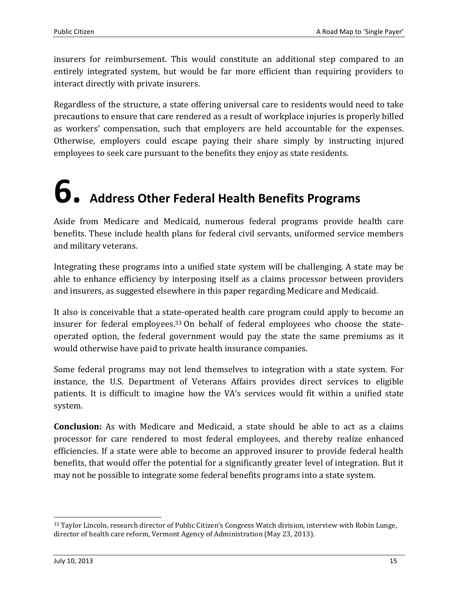insurers for reimbursement. This would constitute an additional step compared to an entirely integrated system, but would be far more efficient than requiring providers to interact directly with private insurers.

Regardless of the structure, a state offering universal care to residents would need to take precautions to ensure that care rendered as a result of workplace injuries is properly billed as workers' compensation, such that employers are held accountable for the expenses. Otherwise, employers could escape paying their share simply by instructing injured employees to seek care pursuant to the benefits they enjoy as state residents.

# <span id="page-14-0"></span>**6. Address Other Federal Health Benefits Programs**

Aside from Medicare and Medicaid, numerous federal programs provide health care benefits. These include health plans for federal civil servants, uniformed service members and military veterans.

Integrating these programs into a unified state system will be challenging. A state may be able to enhance efficiency by interposing itself as a claims processor between providers and insurers, as suggested elsewhere in this paper regarding Medicare and Medicaid.

It also is conceivable that a state-operated health care program could apply to become an insurer for federal employees. <sup>33</sup> On behalf of federal employees who choose the stateoperated option, the federal government would pay the state the same premiums as it would otherwise have paid to private health insurance companies.

Some federal programs may not lend themselves to integration with a state system. For instance, the U.S. Department of Veterans Affairs provides direct services to eligible patients. It is difficult to imagine how the VA's services would fit within a unified state system.

**Conclusion:** As with Medicare and Medicaid, a state should be able to act as a claims processor for care rendered to most federal employees, and thereby realize enhanced efficiencies. If a state were able to become an approved insurer to provide federal health benefits, that would offer the potential for a significantly greater level of integration. But it may not be possible to integrate some federal benefits programs into a state system.

 $\overline{\phantom{0}}$ 

<sup>33</sup> Taylor Lincoln, research director of Public Citizen's Congress Watch division, interview with Robin Lunge, director of health care reform, Vermont Agency of Administration (May 23, 2013).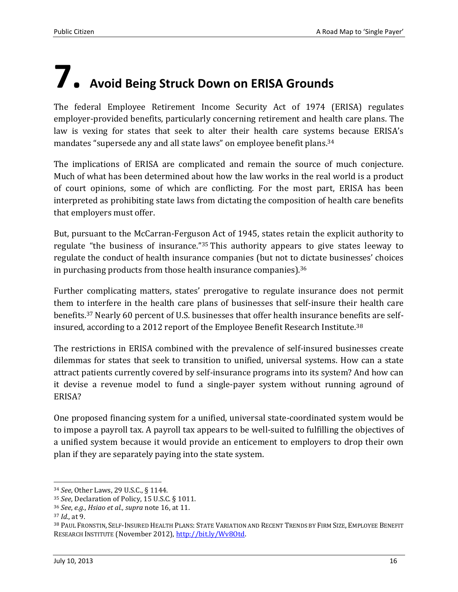# <span id="page-15-0"></span>**7. Avoid Being Struck Down on ERISA Grounds**

The federal Employee Retirement Income Security Act of 1974 (ERISA) regulates employer-provided benefits, particularly concerning retirement and health care plans. The law is vexing for states that seek to alter their health care systems because ERISA's mandates "supersede any and all state laws" on employee benefit plans.<sup>34</sup>

The implications of ERISA are complicated and remain the source of much conjecture. Much of what has been determined about how the law works in the real world is a product of court opinions, some of which are conflicting. For the most part, ERISA has been interpreted as prohibiting state laws from dictating the composition of health care benefits that employers must offer.

But, pursuant to the McCarran-Ferguson Act of 1945, states retain the explicit authority to regulate "the business of insurance."<sup>35</sup> This authority appears to give states leeway to regulate the conduct of health insurance companies (but not to dictate businesses' choices in purchasing products from those health insurance companies).<sup>36</sup>

Further complicating matters, states' prerogative to regulate insurance does not permit them to interfere in the health care plans of businesses that self-insure their health care benefits.<sup>37</sup> Nearly 60 percent of U.S. businesses that offer health insurance benefits are selfinsured, according to a 2012 report of the Employee Benefit Research Institute.<sup>38</sup>

The restrictions in ERISA combined with the prevalence of self-insured businesses create dilemmas for states that seek to transition to unified, universal systems. How can a state attract patients currently covered by self-insurance programs into its system? And how can it devise a revenue model to fund a single-payer system without running aground of ERISA?

One proposed financing system for a unified, universal state-coordinated system would be to impose a payroll tax. A payroll tax appears to be well-suited to fulfilling the objectives of a unified system because it would provide an enticement to employers to drop their own plan if they are separately paying into the state system.

 $\overline{a}$ 

<sup>34</sup> *See*, Other Laws, 29 U.S.C., § 1144.

<sup>35</sup> *See*, Declaration of Policy, 15 U.S.C. § 1011.

<sup>36</sup> *See*, *e.g.*, *Hsiao et al., supra* note 16, at 11.

<sup>37</sup> *Id.*, at 9.

<sup>38</sup> PAUL FRONSTIN, SELF-INSURED HEALTH PLANS: STATE VARIATION AND RECENT TRENDS BY FIRM SIZE, EMPLOYEE BENEFIT RESEARCH INSTITUTE (November 2012)[, http://bit.ly/Wv8Otd.](http://bit.ly/Wv8Otd)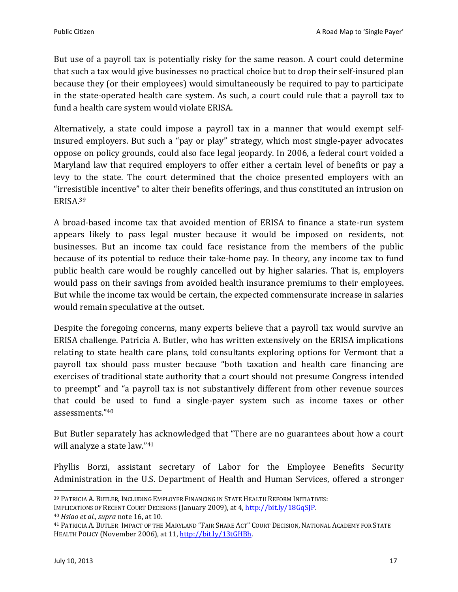But use of a payroll tax is potentially risky for the same reason. A court could determine that such a tax would give businesses no practical choice but to drop their self-insured plan because they (or their employees) would simultaneously be required to pay to participate in the state-operated health care system. As such, a court could rule that a payroll tax to fund a health care system would violate ERISA.

Alternatively, a state could impose a payroll tax in a manner that would exempt selfinsured employers. But such a "pay or play" strategy, which most single-payer advocates oppose on policy grounds, could also face legal jeopardy. In 2006, a federal court voided a Maryland law that required employers to offer either a certain level of benefits or pay a levy to the state. The court determined that the choice presented employers with an "irresistible incentive" to alter their benefits offerings, and thus constituted an intrusion on ERISA. 39

A broad-based income tax that avoided mention of ERISA to finance a state-run system appears likely to pass legal muster because it would be imposed on residents, not businesses. But an income tax could face resistance from the members of the public because of its potential to reduce their take-home pay. In theory, any income tax to fund public health care would be roughly cancelled out by higher salaries. That is, employers would pass on their savings from avoided health insurance premiums to their employees. But while the income tax would be certain, the expected commensurate increase in salaries would remain speculative at the outset.

Despite the foregoing concerns, many experts believe that a payroll tax would survive an ERISA challenge. Patricia A. Butler, who has written extensively on the ERISA implications relating to state health care plans, told consultants exploring options for Vermont that a payroll tax should pass muster because "both taxation and health care financing are exercises of traditional state authority that a court should not presume Congress intended to preempt" and "a payroll tax is not substantively different from other revenue sources that could be used to fund a single-payer system such as income taxes or other assessments." 40

But Butler separately has acknowledged that "There are no guarantees about how a court will analyze a state law."<sup>41</sup>

Phyllis Borzi, assistant secretary of Labor for the Employee Benefits Security Administration in the U.S. Department of Health and Human Services, offered a stronger

<sup>39</sup> PATRICIA A. BUTLER, INCLUDING EMPLOYER FINANCING IN STATE HEALTH REFORM INITIATIVES:

IMPLICATIONS OF RECENT COURT DECISIONS (January 2009), at 4[, http://bit.ly/18GqSJP.](http://bit.ly/18GqSJP)

<sup>40</sup> *Hsiao et al., supra* note 16, at 10.

<sup>41</sup> PATRICIA A. BUTLER, IMPACT OF THE MARYLAND "FAIR SHARE ACT" COURT DECISION, NATIONAL ACADEMY FOR STATE HEALTH POLICY (November 2006), at 11, http://bit.ly/13tGHBh.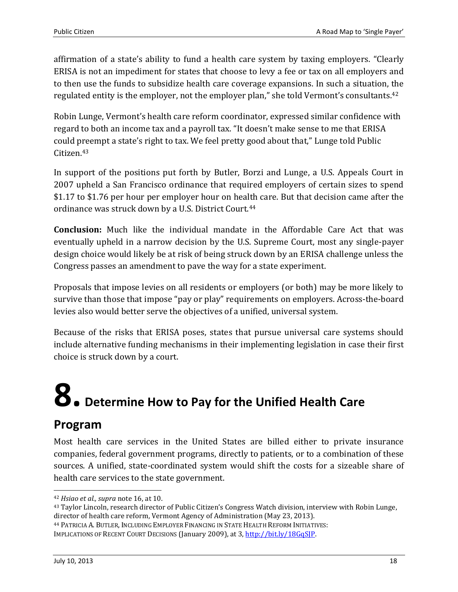affirmation of a state's ability to fund a health care system by taxing employers. "Clearly ERISA is not an impediment for states that choose to levy a fee or tax on all employers and to then use the funds to subsidize health care coverage expansions. In such a situation, the regulated entity is the employer, not the employer plan," she told Vermont's consultants.<sup>42</sup>

Robin Lunge, Vermont's health care reform coordinator, expressed similar confidence with regard to both an income tax and a payroll tax. "It doesn't make sense to me that ERISA could preempt a state's right to tax. We feel pretty good about that," Lunge told Public Citizen.<sup>43</sup>

In support of the positions put forth by Butler, Borzi and Lunge, a U.S. Appeals Court in 2007 upheld a San Francisco ordinance that required employers of certain sizes to spend \$1.17 to \$1.76 per hour per employer hour on health care. But that decision came after the ordinance was struck down by a U.S. District Court.<sup>44</sup>

**Conclusion:** Much like the individual mandate in the Affordable Care Act that was eventually upheld in a narrow decision by the U.S. Supreme Court, most any single-payer design choice would likely be at risk of being struck down by an ERISA challenge unless the Congress passes an amendment to pave the way for a state experiment.

Proposals that impose levies on all residents or employers (or both) may be more likely to survive than those that impose "pay or play" requirements on employers. Across-the-board levies also would better serve the objectives of a unified, universal system.

Because of the risks that ERISA poses, states that pursue universal care systems should include alternative funding mechanisms in their implementing legislation in case their first choice is struck down by a court.

# <span id="page-17-0"></span>**8. Determine How to Pay for the Unified Health Care**

### **Program**

Most health care services in the United States are billed either to private insurance companies, federal government programs, directly to patients, or to a combination of these sources. A unified, state-coordinated system would shift the costs for a sizeable share of health care services to the state government.

<sup>42</sup> *Hsiao et al., supra* note 16, at 10.

<sup>43</sup> Taylor Lincoln, research director of Public Citizen's Congress Watch division, interview with Robin Lunge, director of health care reform, Vermont Agency of Administration (May 23, 2013).

<sup>44</sup> PATRICIA A. BUTLER, INCLUDING EMPLOYER FINANCING IN STATE HEALTH REFORM INITIATIVES:

IMPLICATIONS OF RECENT COURT DECISIONS (January 2009), at 3[, http://bit.ly/18GqSJP.](http://bit.ly/18GqSJP)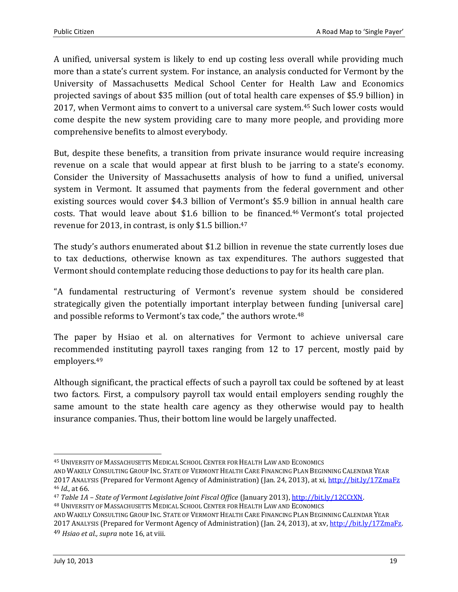A unified, universal system is likely to end up costing less overall while providing much more than a state's current system. For instance, an analysis conducted for Vermont by the University of Massachusetts Medical School Center for Health Law and Economics projected savings of about \$35 million (out of total health care expenses of \$5.9 billion) in 2017, when Vermont aims to convert to a universal care system.<sup>45</sup> Such lower costs would come despite the new system providing care to many more people, and providing more comprehensive benefits to almost everybody.

But, despite these benefits, a transition from private insurance would require increasing revenue on a scale that would appear at first blush to be jarring to a state's economy. Consider the University of Massachusetts analysis of how to fund a unified, universal system in Vermont. It assumed that payments from the federal government and other existing sources would cover \$4.3 billion of Vermont's \$5.9 billion in annual health care costs. That would leave about \$1.6 billion to be financed.<sup>46</sup> Vermont's total projected revenue for 2013, in contrast, is only \$1.5 billion. 47

The study's authors enumerated about \$1.2 billion in revenue the state currently loses due to tax deductions, otherwise known as tax expenditures. The authors suggested that Vermont should contemplate reducing those deductions to pay for its health care plan.

"A fundamental restructuring of Vermont's revenue system should be considered strategically given the potentially important interplay between funding [universal care] and possible reforms to Vermont's tax code," the authors wrote.<sup>48</sup>

The paper by Hsiao et al. on alternatives for Vermont to achieve universal care recommended instituting payroll taxes ranging from 12 to 17 percent, mostly paid by employers. 49

Although significant, the practical effects of such a payroll tax could be softened by at least two factors. First, a compulsory payroll tax would entail employers sending roughly the same amount to the state health care agency as they otherwise would pay to health insurance companies. Thus, their bottom line would be largely unaffected.

2017 ANALYSIS (Prepared for Vermont Agency of Administration) (Jan. 24, 2013), at xv, [http://bit.ly/17ZmaFz.](http://bit.ly/17ZmaFz) 49 *Hsiao et al., supra* note 16, at viii.

 $\overline{\phantom{0}}$ <sup>45</sup> UNIVERSITY OF MASSACHUSETTS MEDICAL SCHOOL CENTER FOR HEALTH LAW AND ECONOMICS

AND WAKELY CONSULTING GROUP INC. STATE OF VERMONT HEALTH CARE FINANCING PLAN BEGINNING CALENDAR YEAR 2017 ANALYSIS (Prepared for Vermont Agency of Administration) (Jan. 24, 2013), at xi[, http://bit.ly/17ZmaFz](http://bit.ly/17ZmaFz) <sup>46</sup> *Id.*, at 66.

<sup>47</sup> *Table 1A – State of Vermont Legislative Joint Fiscal Office* (January 2013)[, http://bit.ly/12CCtXN.](http://bit.ly/12CCtXN) <sup>48</sup> UNIVERSITY OF MASSACHUSETTS MEDICAL SCHOOL CENTER FOR HEALTH LAW AND ECONOMICS

AND WAKELY CONSULTING GROUP INC. STATE OF VERMONT HEALTH CARE FINANCING PLAN BEGINNING CALENDAR YEAR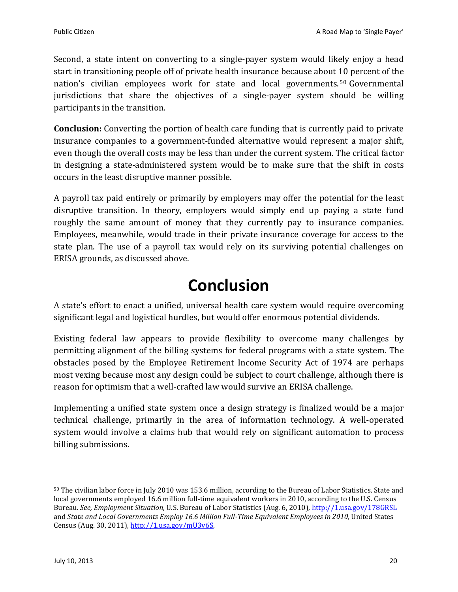Second, a state intent on converting to a single-payer system would likely enjoy a head start in transitioning people off of private health insurance because about 10 percent of the nation's civilian employees work for state and local governments. <sup>50</sup> Governmental jurisdictions that share the objectives of a single-payer system should be willing participants in the transition.

**Conclusion:** Converting the portion of health care funding that is currently paid to private insurance companies to a government-funded alternative would represent a major shift, even though the overall costs may be less than under the current system. The critical factor in designing a state-administered system would be to make sure that the shift in costs occurs in the least disruptive manner possible.

A payroll tax paid entirely or primarily by employers may offer the potential for the least disruptive transition. In theory, employers would simply end up paying a state fund roughly the same amount of money that they currently pay to insurance companies. Employees, meanwhile, would trade in their private insurance coverage for access to the state plan. The use of a payroll tax would rely on its surviving potential challenges on ERISA grounds, as discussed above.

### **Conclusion**

<span id="page-19-0"></span>A state's effort to enact a unified, universal health care system would require overcoming significant legal and logistical hurdles, but would offer enormous potential dividends.

Existing federal law appears to provide flexibility to overcome many challenges by permitting alignment of the billing systems for federal programs with a state system. The obstacles posed by the Employee Retirement Income Security Act of 1974 are perhaps most vexing because most any design could be subject to court challenge, although there is reason for optimism that a well-crafted law would survive an ERISA challenge.

Implementing a unified state system once a design strategy is finalized would be a major technical challenge, primarily in the area of information technology. A well-operated system would involve a claims hub that would rely on significant automation to process billing submissions.

 $\overline{a}$ 

<sup>50</sup> The civilian labor force in July 2010 was 153.6 million, according to the Bureau of Labor Statistics. State and local governments employed 16.6 million full-time equivalent workers in 2010, according to the U.S. Census Bureau. *See, Employment Situation*, U.S. Bureau of Labor Statistics (Aug. 6, 2010),<http://1.usa.gov/178GRSL> and *State and Local Governments Employ 16.6 Million Full-Time Equivalent Employees in 2010*, United States Census (Aug. 30, 2011)[, http://1.usa.gov/mU3v6S.](http://1.usa.gov/mU3v6S)